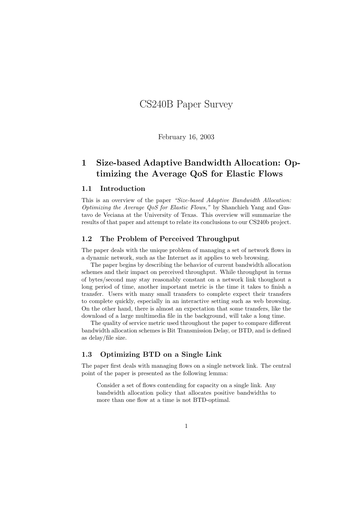# CS240B Paper Survey

February 16, 2003

# 1 Size-based Adaptive Bandwidth Allocation: Optimizing the Average QoS for Elastic Flows

#### 1.1 Introduction

This is an overview of the paper "Size-based Adaptive Bandwidth Allocation: Optimizing the Average QoS for Elastic Flows," by Shanchieh Yang and Gustavo de Veciana at the University of Texas. This overview will summarize the results of that paper and attempt to relate its conclusions to our CS240b project.

### 1.2 The Problem of Perceived Throughput

The paper deals with the unique problem of managing a set of network flows in a dynamic network, such as the Internet as it applies to web browsing.

The paper begins by describing the behavior of current bandwidth allocation schemes and their impact on perceived throughput. While throughput in terms of bytes/second may stay reasonably constant on a network link thoughout a long period of time, another important metric is the time it takes to finish a transfer. Users with many small transfers to complete expect their transfers to complete quickly, especially in an interactive setting such as web browsing. On the other hand, there is almost an expectation that some transfers, like the download of a large multimedia file in the background, will take a long time.

The quality of service metric used throughout the paper to compare different bandwidth allocation schemes is Bit Transmission Delay, or BTD, and is defined as delay/file size.

### 1.3 Optimizing BTD on a Single Link

The paper first deals with managing flows on a single network link. The central point of the paper is presented as the following lemma:

Consider a set of flows contending for capacity on a single link. Any bandwidth allocation policy that allocates positive bandwidths to more than one flow at a time is not BTD-optimal.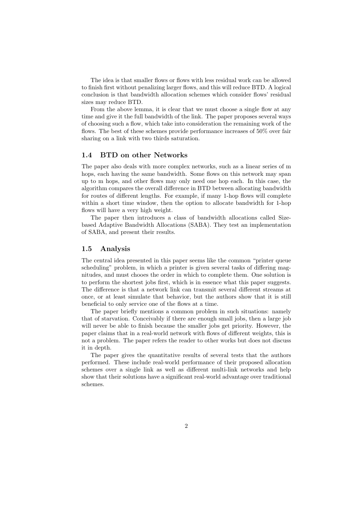The idea is that smaller flows or flows with less residual work can be allowed to finish first without penalizing larger flows, and this will reduce BTD. A logical conclusion is that bandwidth allocation schemes which consider flows' residual sizes may reduce BTD.

From the above lemma, it is clear that we must choose a single flow at any time and give it the full bandwidth of the link. The paper proposes several ways of choosing such a flow, which take into consideration the remaining work of the flows. The best of these schemes provide performance increases of 50% over fair sharing on a link with two thirds saturation.

#### 1.4 BTD on other Networks

The paper also deals with more complex networks, such as a linear series of m hops, each having the same bandwidth. Some flows on this network may span up to m hops, and other flows may only need one hop each. In this case, the algorithm compares the overall difference in BTD between allocating bandwidth for routes of different lengths. For example, if many 1-hop flows will complete within a short time window, then the option to allocate bandwidth for 1-hop flows will have a very high weight.

The paper then introduces a class of bandwidth allocations called Sizebased Adaptive Bandwidth Allocations (SABA). They test an implementation of SABA, and present their results.

#### 1.5 Analysis

The central idea presented in this paper seems like the common "printer queue scheduling" problem, in which a printer is given several tasks of differing magnitudes, and must chooes the order in which to complete them. One solution is to perform the shortest jobs first, which is in essence what this paper suggests. The difference is that a network link can transmit several different streams at once, or at least simulate that behavior, but the authors show that it is still beneficial to only service one of the flows at a time.

The paper briefly mentions a common problem in such situations: namely that of starvation. Conceivably if there are enough small jobs, then a large job will never be able to finish because the smaller jobs get priority. However, the paper claims that in a real-world network with flows of different weights, this is not a problem. The paper refers the reader to other works but does not discuss it in depth.

The paper gives the quantitative results of several tests that the authors performed. These include real-world performance of their proposed allocation schemes over a single link as well as different multi-link networks and help show that their solutions have a significant real-world advantage over traditional schemes.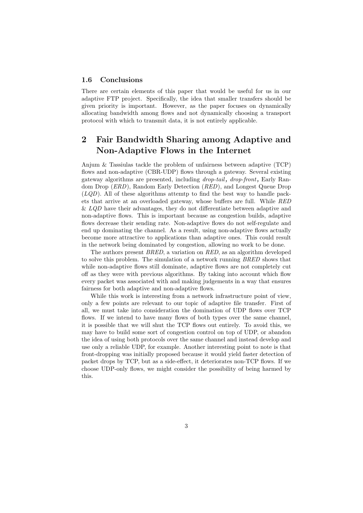#### 1.6 Conclusions

There are certain elements of this paper that would be useful for us in our adaptive FTP project. Specifically, the idea that smaller transfers should be given priority is important. However, as the paper focuses on dynamically allocating bandwidth among flows and not dynamically choosing a transport protocol with which to transmit data, it is not entirely applicable.

### 2 Fair Bandwidth Sharing among Adaptive and Non-Adaptive Flows in the Internet

Anjum & Tassiulas tackle the problem of unfairness between adaptive (TCP) flows and non-adaptive (CBR-UDP) flows through a gateway. Several existing gateway algorithms are presented, including drop-tail, drop-front, Early Random Drop (ERD), Random Early Detection (RED), and Longest Queue Drop  $(LQD)$ . All of these algorithms attemtp to find the best way to handle packets that arrive at an overloaded gateway, whose buffers are full. While RED  $\&$  LQD have their advantages, they do not differentiate between adaptive and non-adaptive flows. This is important because as congestion builds, adaptive flows decrease their sending rate. Non-adaptive flows do not self-regulate and end up dominating the channel. As a result, using non-adaptive flows actually become more attractive to applications than adaptive ones. This could result in the network being dominated by congestion, allowing no work to be done.

The authors present BRED, a variation on RED, as an algorithm developed to solve this problem. The simulation of a network running BRED shows that while non-adaptive flows still dominate, adaptive flows are not completely cut off as they were with previous algorithms. By taking into account which flow every packet was associated with and making judgements in a way that ensures fairness for both adaptive and non-adaptive flows.

While this work is interesting from a network infrastructure point of view, only a few points are relevant to our topic of adaptive file transfer. First of all, we must take into consideration the domination of UDP flows over TCP flows. If we intend to have many flows of both types over the same channel, it is possible that we will shut the TCP flows out entirely. To avoid this, we may have to build some sort of congestion control on top of UDP, or abandon the idea of using both protocols over the same channel and instead develop and use only a reliable UDP, for example. Another interesting point to note is that front-dropping was initially proposed because it would yield faster detection of packet drops by TCP, but as a side-effect, it deteriorates non-TCP flows. If we choose UDP-only flows, we might consider the possibility of being harmed by this.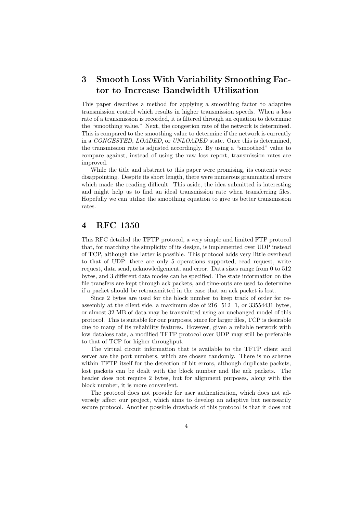# 3 Smooth Loss With Variability Smoothing Factor to Increase Bandwidth Utilization

This paper describes a method for applying a smoothing factor to adaptive transmission control which results in higher transmission speeds. When a loss rate of a transmission is recorded, it is filtered through an equation to determine the "smoothing value." Next, the congestion rate of the network is determined. This is compared to the smoothing value to determine if the network is currently in a CONGESTED, LOADED, or UNLOADED state. Once this is determined, the transmission rate is adjusted accordingly. By using a "smoothed" value to compare against, instead of using the raw loss report, transmission rates are improved.

While the title and abstract to this paper were promising, its contents were disappointing. Despite its short length, there were numerous grammatical errors which made the reading difficult. This aside, the idea submitted is interesting and might help us to find an ideal transmission rate when transferring files. Hopefully we can utilize the smoothing equation to give us better transmission rates.

### 4 RFC 1350

This RFC detailed the TFTP protocol, a very simple and limited FTP protocol that, for matching the simplicity of its design, is implemented over UDP instead of TCP, although the latter is possible. This protocol adds very little overhead to that of UDP: there are only 5 operations supported, read request, write request, data send, acknowledgement, and error. Data sizes range from 0 to 512 bytes, and 3 different data modes can be specified. The state information on the file transfers are kept through ack packets, and time-outs are used to determine if a packet should be retransmitted in the case that an ack packet is lost.

Since 2 bytes are used for the block number to keep track of order for reassembly at the client side, a maximum size of  $2\hat{1}6 \quad 512 \quad 1$ , or  $33554431$  bytes, or almost 32 MB of data may be transmitted using an unchanged model of this protocol. This is suitable for our purposes, since for larger files, TCP is desirable due to many of its reliability features. However, given a reliable network with low dataloss rate, a modified TFTP protocol over UDP may still be preferable to that of TCP for higher throughput.

The virtual circuit information that is available to the TFTP client and server are the port numbers, which are chosen randomly. There is no scheme within TFTP itself for the detection of bit errors, although duplicate packets, lost packets can be dealt with the block number and the ack packets. The header does not require 2 bytes, but for alignment purposes, along with the block number, it is more convenient.

The protocol does not provide for user authentication, which does not adversely affect our project, which aims to develop an adaptive but necessarily secure protocol. Another possible drawback of this protocol is that it does not